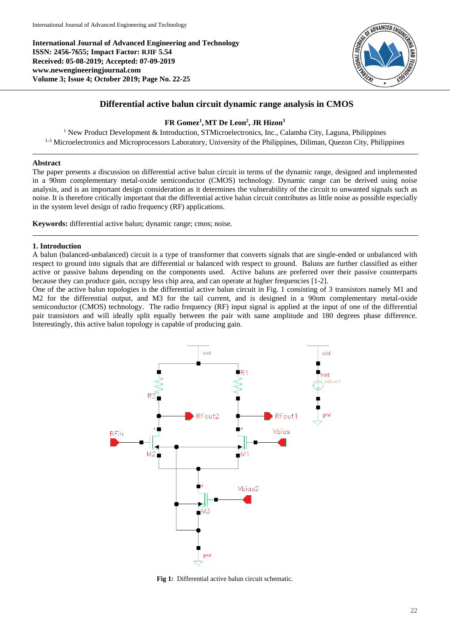**International Journal of Advanced Engineering and Technology ISSN: 2456-7655; Impact Factor: RJIF 5.54 Received: 05-08-2019; Accepted: 07-09-2019 www.newengineeringjournal.com Volume 3; Issue 4; October 2019; Page No. 22-25**



# **Differential active balun circuit dynamic range analysis in CMOS**

## **FR Gomez<sup>1</sup> ,MT De Leon<sup>2</sup> , JR Hizon<sup>3</sup>**

<sup>1</sup> New Product Development & Introduction, STMicroelectronics, Inc., Calamba City, Laguna, Philippines <sup>1-3</sup> Microelectronics and Microprocessors Laboratory, University of the Philippines, Diliman, Quezon City, Philippines

### **Abstract**

The paper presents a discussion on differential active balun circuit in terms of the dynamic range, designed and implemented in a 90nm complementary metal-oxide semiconductor (CMOS) technology. Dynamic range can be derived using noise analysis, and is an important design consideration as it determines the vulnerability of the circuit to unwanted signals such as noise. It is therefore critically important that the differential active balun circuit contributes as little noise as possible especially in the system level design of radio frequency (RF) applications.

**Keywords:** differential active balun; dynamic range; cmos; noise.

#### **1. Introduction**

A balun (balanced-unbalanced) circuit is a type of transformer that converts signals that are single-ended or unbalanced with respect to ground into signals that are differential or balanced with respect to ground. Baluns are further classified as either active or passive baluns depending on the components used. Active baluns are preferred over their passive counterparts because they can produce gain, occupy less chip area, and can operate at higher frequencies [1-2].

One of the active balun topologies is the differential active balun circuit in Fig. 1 consisting of 3 transistors namely M1 and M2 for the differential output, and M3 for the tail current, and is designed in a 90nm complementary metal-oxide semiconductor (CMOS) technology. The radio frequency (RF) input signal is applied at the input of one of the differential pair transistors and will ideally split equally between the pair with same amplitude and 180 degrees phase difference. Interestingly, this active balun topology is capable of producing gain.



**Fig 1:** Differential active balun circuit schematic.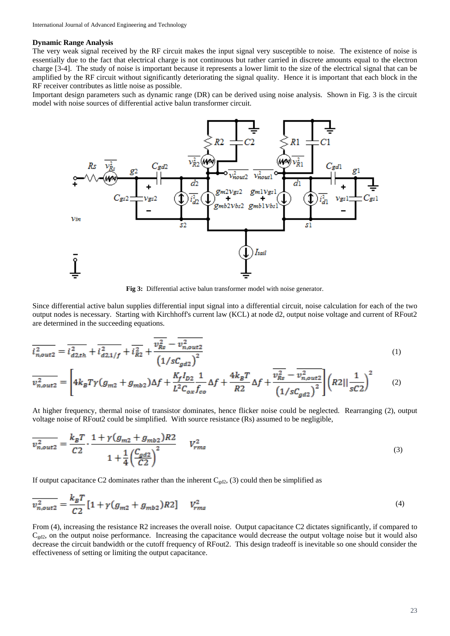#### **Dynamic Range Analysis**

The very weak signal received by the RF circuit makes the input signal very susceptible to noise. The existence of noise is essentially due to the fact that electrical charge is not continuous but rather carried in discrete amounts equal to the electron charge [3-4]. The study of noise is important because it represents a lower limit to the size of the electrical signal that can be amplified by the RF circuit without significantly deteriorating the signal quality. Hence it is important that each block in the RF receiver contributes as little noise as possible.

Important design parameters such as dynamic range (DR) can be derived using noise analysis. Shown in Fig. 3 is the circuit model with noise sources of differential active balun transformer circuit.



**Fig 3:** Differential active balun transformer model with noise generator.

Since differential active balun supplies differential input signal into a differential circuit, noise calculation for each of the two output nodes is necessary. Starting with Kirchhoff's current law (KCL) at node d2, output noise voltage and current of RFout2 are determined in the succeeding equations.

$$
\overline{i_{n,out2}^2} = \overline{i_{d2,th}^2} + \overline{i_{d2,1/f}^2} + \overline{i_{R2}^2} + \frac{\overline{v_{Rs}^2} - \overline{v_{n,out2}^2}}{\left(1/sC_{ad2}\right)^2}
$$
(1)

$$
\overline{v_{n,out2}^2} = \left[ 4k_B T \gamma (g_{m2} + g_{mb2}) \Delta f + \frac{K_f I_{D2}}{L^2 C_{ox} f_{co}} \Delta f + \frac{4k_B T}{R^2} \Delta f + \frac{\overline{v_{RS}^2} - \overline{v_{n,out2}^2}}{\left( 1/s C_{gd2} \right)^2} \right] \left( R2 || \frac{1}{sC2} \right)^2 \tag{2}
$$

At higher frequency, thermal noise of transistor dominates, hence flicker noise could be neglected. Rearranging (2), output voltage noise of RFout2 could be simplified. With source resistance (Rs) assumed to be negligible,

$$
\overline{v_{n,out2}^2} = \frac{k_B T}{C2} \cdot \frac{1 + \gamma (g_{m2} + g_{mb2}) R2}{1 + \frac{1}{4} \left(\frac{C_{gd2}}{C2}\right)^2} \qquad V_{rms}^2 \tag{3}
$$

If output capacitance C2 dominates rather than the inherent  $C_{\text{gd2}}$ , (3) could then be simplified as

$$
\overline{v_{n,out2}^2} = \frac{k_B T}{C2} \left[ 1 + \gamma (g_{m2} + g_{mb2}) R2 \right] \quad V_{rms}^2 \tag{4}
$$

From (4), increasing the resistance R2 increases the overall noise. Output capacitance C2 dictates significantly, if compared to  $C_{\text{gd2}}$ , on the output noise performance. Increasing the capacitance would decrease the output voltage noise but it would also decrease the circuit bandwidth or the cutoff frequency of RFout2. This design tradeoff is inevitable so one should consider the effectiveness of setting or limiting the output capacitance.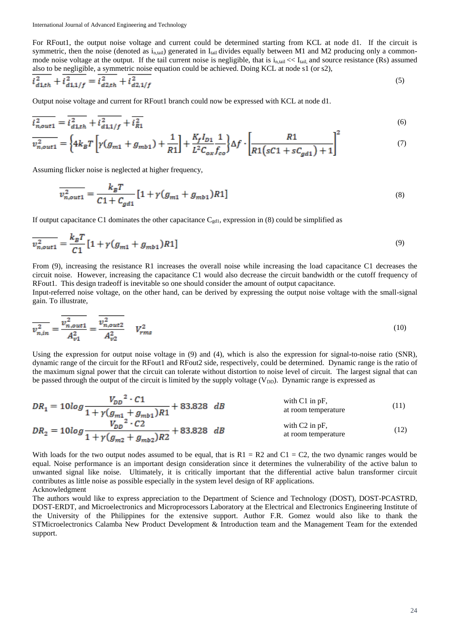For RFout1, the output noise voltage and current could be determined starting from KCL at node d1. If the circuit is symmetric, then the noise (denoted as  $i_{n, tail}$ ) generated in  $I_{tail}$  divides equally between M1 and M2 producing only a commonmode noise voltage at the output. If the tail current noise is negligible, that is  $i_{n,\text{tail}} \ll I_{\text{tail}}$ , and source resistance (Rs) assumed also to be negligible, a symmetric noise equation could be achieved. Doing KCL at node s1 (or s2),

$$
\overline{i_{d1,th}^2} + \overline{i_{d1,1/f}^2} = \overline{i_{d2,th}^2} + \overline{i_{d2,1/f}^2}
$$
 (5)

Output noise voltage and current for RFout1 branch could now be expressed with KCL at node d1.

$$
\overline{i_{n,out1}^2} = \overline{i_{d1,th}^2} + \overline{i_{d1,1/f}^2} + \overline{i_{R1}^2}
$$
\n(6)

$$
\overline{v_{n,out1}^2} = \left\{ 4k_B T \left[ \gamma (g_{m1} + g_{mb1}) + \frac{1}{R1} \right] + \frac{K_f I_{D1}}{L^2 C_{ox} f_{co}} \right\} \Delta f \cdot \left[ \frac{R1}{R1 (sC1 + sC_{gd1}) + 1} \right] \tag{7}
$$

Assuming flicker noise is neglected at higher frequency,

$$
\overline{v_{n,out1}^2} = \frac{k_B T}{C1 + C_{gal}} [1 + \gamma (g_{m1} + g_{mb1}) R1]
$$
\n(8)

If output capacitance C1 dominates the other capacitance  $C_{\text{gd1}}$ , expression in (8) could be simplified as

$$
\overline{v_{n,out1}^2} = \frac{k_B T}{C1} \left[ 1 + \gamma (g_{m1} + g_{mb1}) R1 \right] \tag{9}
$$

From (9), increasing the resistance R1 increases the overall noise while increasing the load capacitance C1 decreases the circuit noise. However, increasing the capacitance C1 would also decrease the circuit bandwidth or the cutoff frequency of RFout1. This design tradeoff is inevitable so one should consider the amount of output capacitance.

Input-referred noise voltage, on the other hand, can be derived by expressing the output noise voltage with the small-signal gain. To illustrate,

$$
\overline{v_{n,in}^2} = \frac{v_{n,out1}^2}{A_{v1}^2} = \frac{v_{n,out2}^2}{A_{v2}^2} \qquad V_{rms}^2 \tag{10}
$$

Using the expression for output noise voltage in (9) and (4), which is also the expression for signal-to-noise ratio (SNR), dynamic range of the circuit for the RFout1 and RFout2 side, respectively, could be determined. Dynamic range is the ratio of the maximum signal power that the circuit can tolerate without distortion to noise level of circuit. The largest signal that can be passed through the output of the circuit is limited by the supply voltage  $(V_{DD})$ . Dynamic range is expressed as

$$
DR_1 = 10log \frac{V_{DD}^2 \cdot C1}{1 + \gamma (g_{m1} + g_{mb1})R1} + 83.828 dB
$$
 with C1 in pF,  
\n
$$
DR_2 = 10log \frac{V_{DD}^2 \cdot C2}{1 + \gamma (g_{m2} + g_{mb2})R2} + 83.828 dB
$$
 with C2 in pF,  
\n
$$
M_2 = 10log \frac{V_{DD}^2 \cdot C2}{1 + \gamma (g_{m2} + g_{mb2})R2} + 83.828 dB
$$

With loads for the two output nodes assumed to be equal, that is  $R1 = R2$  and  $C1 = C2$ , the two dynamic ranges would be equal. Noise performance is an important design consideration since it determines the vulnerability of the active balun to unwanted signal like noise. Ultimately, it is critically important that the differential active balun transformer circuit contributes as little noise as possible especially in the system level design of RF applications. Acknowledgment

The authors would like to express appreciation to the Department of Science and Technology (DOST), DOST-PCASTRD, DOST-ERDT, and Microelectronics and Microprocessors Laboratory at the Electrical and Electronics Engineering Institute of the University of the Philippines for the extensive support. Author F.R. Gomez would also like to thank the STMicroelectronics Calamba New Product Development & Introduction team and the Management Team for the extended support.